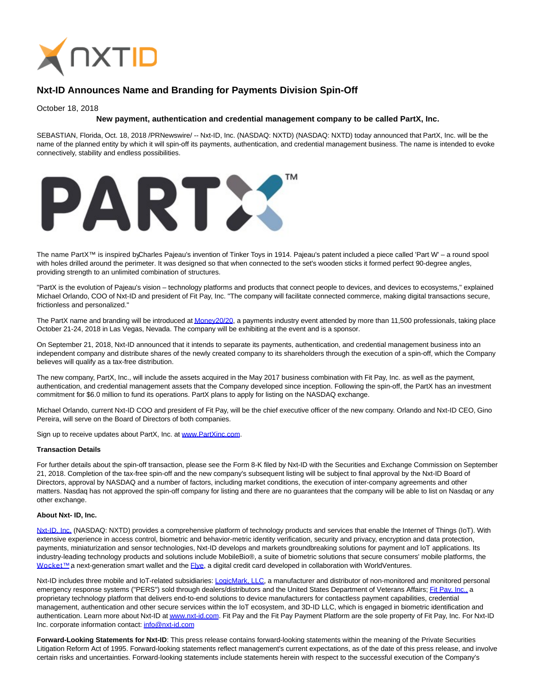

# **Nxt-ID Announces Name and Branding for Payments Division Spin-Off**

## October 18, 2018

## **New payment, authentication and credential management company to be called PartX, Inc.**

SEBASTIAN, Florida, Oct. 18, 2018 /PRNewswire/ -- Nxt-ID, Inc. (NASDAQ: NXTD) (NASDAQ: NXTD) today announced that PartX, Inc. will be the name of the planned entity by which it will spin-off its payments, authentication, and credential management business. The name is intended to evoke connectively, stability and endless possibilities.



The name PartX™ is inspired byCharles Pajeau's invention of Tinker Toys in 1914. Pajeau's patent included a piece called 'Part W' – a round spool with holes drilled around the perimeter. It was designed so that when connected to the set's wooden sticks it formed perfect 90-degree angles, providing strength to an unlimited combination of structures.

"PartX is the evolution of Pajeau's vision – technology platforms and products that connect people to devices, and devices to ecosystems," explained Michael Orlando, COO of Nxt-ID and president of Fit Pay, Inc. "The company will facilitate connected commerce, making digital transactions secure, frictionless and personalized."

The PartX name and branding will be introduced a[t Money20/20,](https://us.money2020.com/) a payments industry event attended by more than 11,500 professionals, taking place October 21-24, 2018 in Las Vegas, Nevada. The company will be exhibiting at the event and is a sponsor.

On September 21, 2018, Nxt-ID announced that it intends to separate its payments, authentication, and credential management business into an independent company and distribute shares of the newly created company to its shareholders through the execution of a spin-off, which the Company believes will qualify as a tax-free distribution.

The new company, PartX, Inc., will include the assets acquired in the May 2017 business combination with Fit Pay, Inc. as well as the payment, authentication, and credential management assets that the Company developed since inception. Following the spin-off, the PartX has an investment commitment for \$6.0 million to fund its operations. PartX plans to apply for listing on the NASDAQ exchange.

Michael Orlando, current Nxt-ID COO and president of Fit Pay, will be the chief executive officer of the new company. Orlando and Nxt-ID CEO, Gino Pereira, will serve on the Board of Directors of both companies.

Sign up to receive updates about PartX, Inc. at [www.PartXinc.com.](http://www.partxinc.com/)

#### **Transaction Details**

For further details about the spin-off transaction, please see the Form 8-K filed by Nxt-ID with the Securities and Exchange Commission on September 21, 2018. Completion of the tax-free spin-off and the new company's subsequent listing will be subject to final approval by the Nxt-ID Board of Directors, approval by NASDAQ and a number of factors, including market conditions, the execution of inter-company agreements and other matters. Nasdaq has not approved the spin-off company for listing and there are no guarantees that the company will be able to list on Nasdaq or any other exchange.

#### **About Nxt- ID, Inc.**

[Nxt-ID, Inc. \(](http://www.nxt-id.com/)NASDAQ: NXTD) provides a comprehensive platform of technology products and services that enable the Internet of Things (IoT). With extensive experience in access control, biometric and behavior-metric identity verification, security and privacy, encryption and data protection, payments, miniaturization and sensor technologies, Nxt-ID develops and markets groundbreaking solutions for payment and IoT applications. Its industry-leading technology products and solutions include MobileBio®, a suite of biometric solutions that secure consumers' mobile platforms, the Wocket™ a next-generation smart wallet and the [Flye,](https://www.flye.com/) a digital credit card developed in collaboration with WorldVentures.

Nxt-ID includes three mobile and IoT-related subsidiaries: [LogicMark, LLC,](https://www.logicmark.com/) a manufacturer and distributor of non-monitored and monitored personal emergency response systems ("PERS") sold through dealers/distributors and the United States Department of Veterans Affairs[; Fit Pay, Inc., a](http://www.fit-pay.com/) proprietary technology platform that delivers end-to-end solutions to device manufacturers for contactless payment capabilities, credential management, authentication and other secure services within the IoT ecosystem, and 3D-ID LLC, which is engaged in biometric identification and authentication. Learn more about Nxt-ID a[t www.nxt-id.com.](http://www.nxt-id.com/) Fit Pay and the Fit Pay Payment Platform are the sole property of Fit Pay, Inc. For Nxt-ID Inc. corporate information contact[: info@nxt-id.com](mailto:info@nxt-id.com)

**Forward-Looking Statements for Nxt-ID**: This press release contains forward-looking statements within the meaning of the Private Securities Litigation Reform Act of 1995. Forward-looking statements reflect management's current expectations, as of the date of this press release, and involve certain risks and uncertainties. Forward-looking statements include statements herein with respect to the successful execution of the Company's